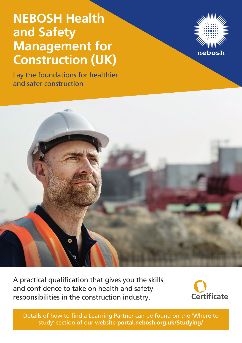# **NEBOSH Health and Safety Management for Construction (UK)**

Lay the foundations for healthier and safer construction





A practical qualification that gives you the skills and confidence to take on health and safety responsibilities in the construction industry.



Details of how to find a Learning Partner can be found on the 'Where to study' section of our website **portal.nebosh.org.uk/Studying/**